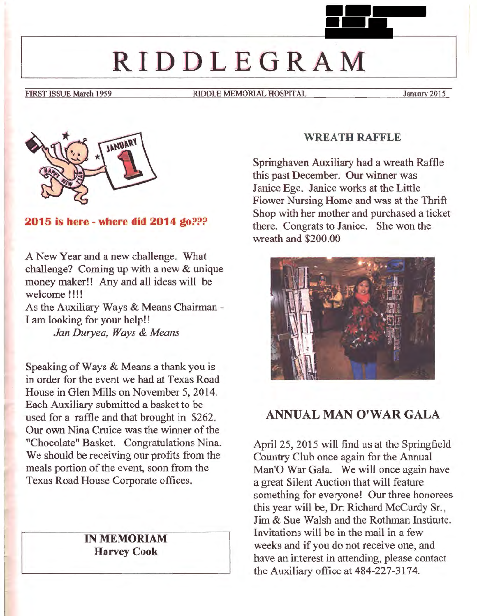# **RIDDLEGRAM**

FIRST ISSUE March 1959 RIDDLE MEMORIAL HOSPITAL January 2015



**2015 is here - where did 2014 go???** 

A New Year and a new challenge. What challenge? Coming up with a new & unique money maker!! Any and all ideas will be welcome !!!!

As the Auxiliary Ways & Means Chairman - I am looking for your help!!

*Jan Duryea, Ways* & *Means* 

Speaking of Ways & Means a thank you is in order for the event we had at Texas Road House in Glen Mills on November 5, 2014. Each Auxiliary submitted a basket to be used for a raffle and that brought in \$262. Our own Nina Cruice was the winner of the "Chocolate" Basket. Congratulations Nina. We should be receiving our profits from the meals portion of the event, soon from the Texas Road House Corporate offices.

## IN **MEMORIAM Harvey Cook**

#### **WREATH RAFFLE**

Springhaven Auxiliary had a wreath Raffle this past December. Our winner was Janice Ege. Janice works at the Little Flower Nursing Home and was at the Thrift Shop with her mother and purchased a ticket there. Congrats to Janice. She won the wreath and \$200.00



## **ANNUAL MAN O'WAR GALA**

April 25, 2015 will find us at the Springfield Country Club once again for the Annual Man'O War Gala. We will once again have a great Silent Auction that will feature something for everyone! Our three honorees this year will be, Dr. Richard McCurdy Sr., Jim & Sue Walsh and the Rothman Institute. Invitations will be in the mail in a few weeks and if you do not receive one, and have an interest in attending, please contact the Auxiliary office at 484-227-3174.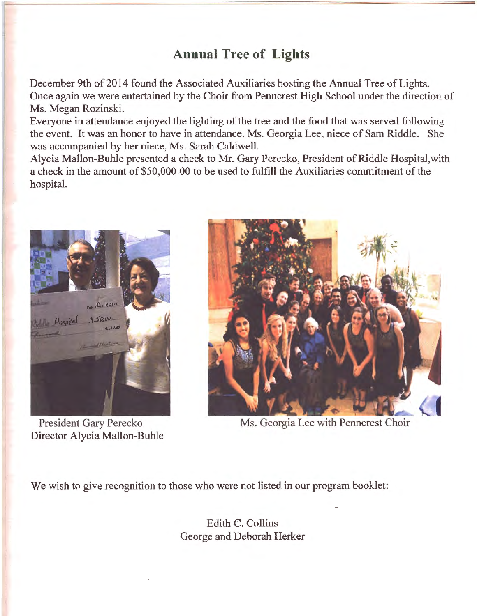# **Annual Tree of Lights**

December 9th of 2014 found the Associated Auxiliaries hosting the Annual Tree of Lights. Once again we were entertained by the Choir from Penncrest High School under the direction of Ms. Megan Rozinski.

Everyone in attendance enjoyed the lighting of the tree and the food that was served following the event. It was an honor to have in attendance. Ms. Georgia Lee, niece of Sam Riddle. She was accompanied by her niece, Ms. Sarah Caldwell.

Alycia Mallon-Buhle presented a check to Mr. Gary Perecko, President of Riddle Hospital,with a check in the amount of \$50,000.00 to be used to fulfill the Auxiliaries commitment of the hospital.



President Gary Perecko Director Alycia Mallon-Buhle



Ms. Georgia Lee with Penncrest Choir

We wish to give recognition to those who were not listed in our program booklet:

Edith C. Collins George and Deborah Herker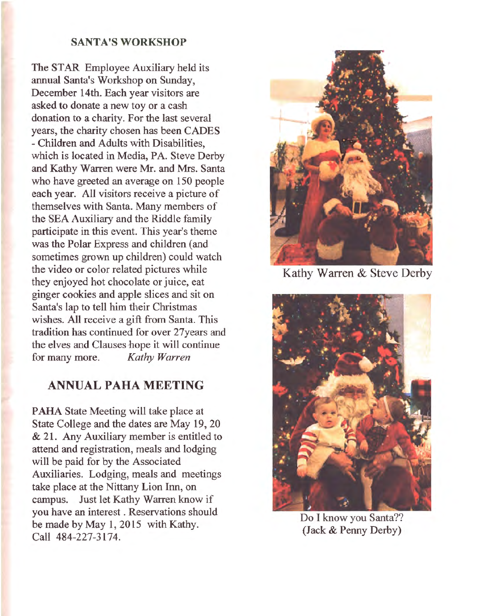#### **SANTA'S WORKSHOP**

The STAR Employee Auxiliary held its annual Santa's Workshop on Sunday, December 14th. Each year visitors are asked to donate a new toy or a cash donation to a charity. For the last several years, the charity chosen has been CADES - Children and Adults with Disabilities, which is located in Media, PA. Steve Derby and Kathy Warren were Mr. and Mrs. Santa who have greeted an average on 150 people each year. All visitors receive a picture of themselves with Santa. Many members of the SEA Auxiliary and the Riddle family participate in this event. This year's theme was the Polar Express and children (and sometimes grown up children) could watch the video or color related pictures while they enjoyed hot chocolate or juice, eat ginger cookies and apple slices and sit on Santa's lap to tell him their Christmas wishes. All receive a gift from Santa. This tradition has continued for over 27years and the elves and Clauses hope it will continue for many more. *Kathy Warren* 

## **ANNUAL PAHA MEETING**

**PAHA** State Meeting will take place at State College and the dates are May 19, 20 & 21. Any Auxiliary member is entitled to attend and registration, meals and lodging will be paid for by the Associated Auxiliaries. Lodging, meals and meetings take place at the Nittany Lion Inn, on campus. Just let Kathy Warren know if you have an interest . Reservations should be made by May l, 2015 with Kathy. Call 484-227-3174.



Kathy Warren & Steve Derby



Do I know you Santa?? (Jack & Penny Derby)